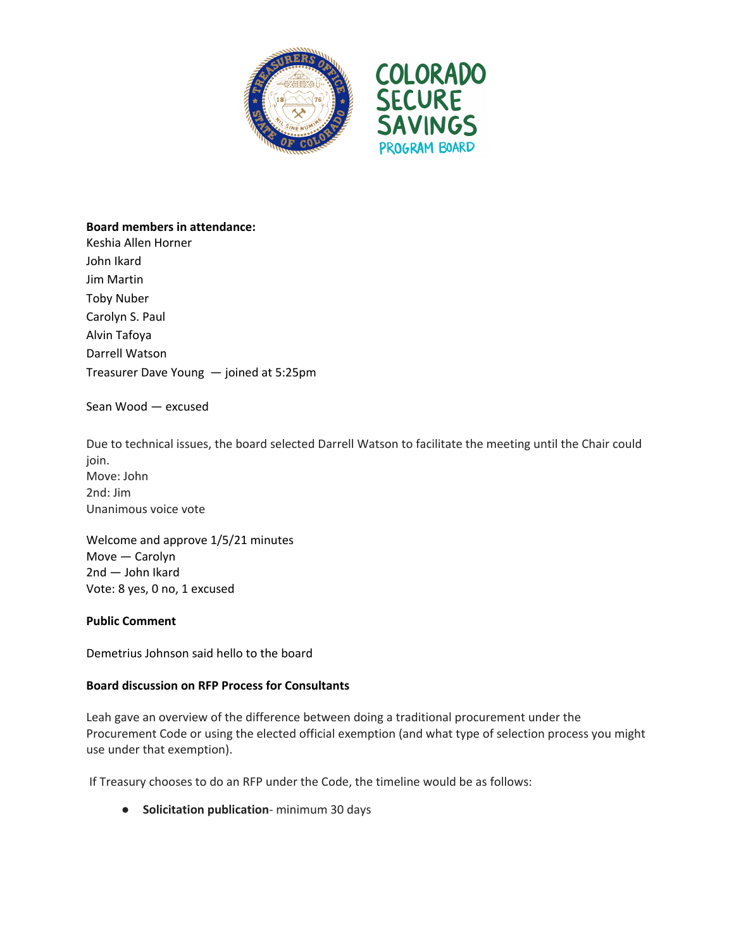



## **Board members in attendance:**

Keshia Allen Horner John Ikard Jim Martin Toby Nuber Carolyn S. Paul Alvin Tafoya Darrell Watson Treasurer Dave Young — joined at 5:25pm

Sean Wood — excused

Due to technical issues, the board selected Darrell Watson to facilitate the meeting until the Chair could join. Move: John 2nd: Jim Unanimous voice vote

Welcome and approve 1/5/21 minutes Move — Carolyn 2nd — John Ikard Vote: 8 yes, 0 no, 1 excused

## **Public Comment**

Demetrius Johnson said hello to the board

## **Board discussion on RFP Process for Consultants**

Leah gave an overview of the difference between doing a traditional procurement under the Procurement Code or using the elected official exemption (and what type of selection process you might use under that exemption).

If Treasury chooses to do an RFP under the Code, the timeline would be as follows:

● **Solicitation publication**- minimum 30 days